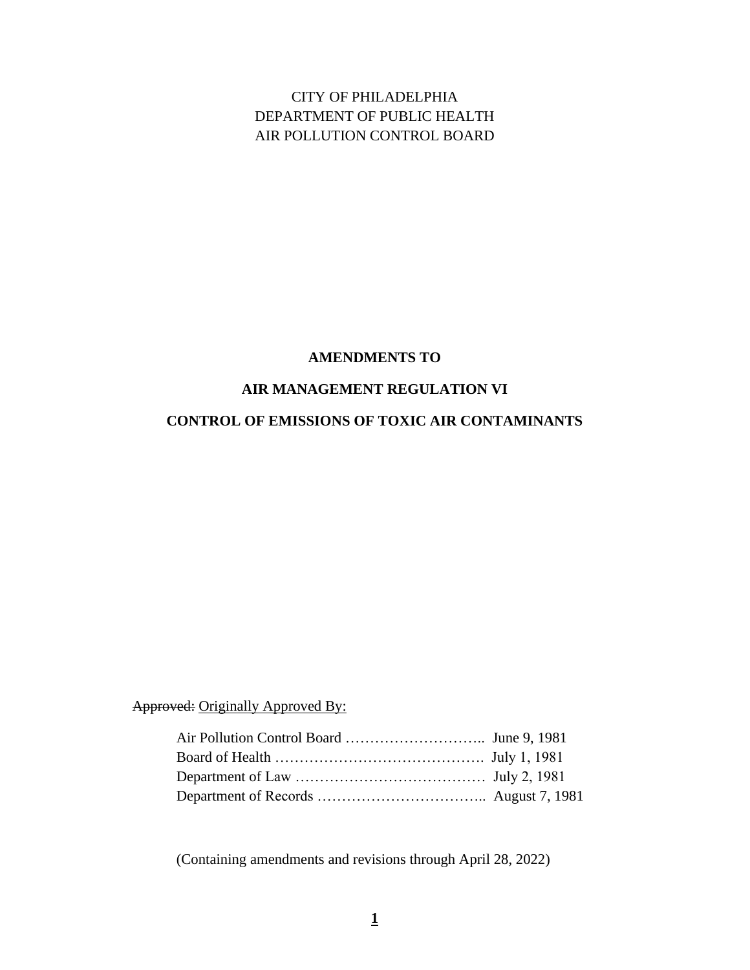CITY OF PHILADELPHIA DEPARTMENT OF PUBLIC HEALTH AIR POLLUTION CONTROL BOARD

#### **AMENDMENTS TO**

#### **AIR MANAGEMENT REGULATION VI**

# **CONTROL OF EMISSIONS OF TOXIC AIR CONTAMINANTS**

Approved: Originally Approved By:

(Containing amendments and revisions through April 28, 2022)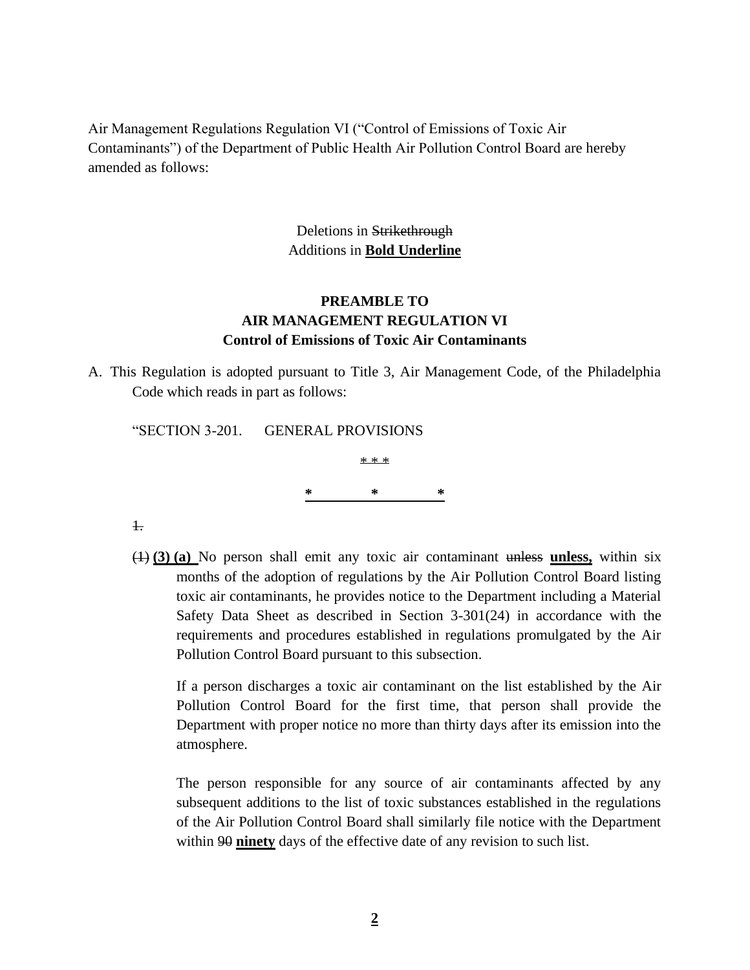Air Management Regulations Regulation VI ("Control of Emissions of Toxic Air Contaminants") of the Department of Public Health Air Pollution Control Board are hereby amended as follows:

> Deletions in Strikethrough Additions in **Bold Underline**

## **PREAMBLE TO AIR MANAGEMENT REGULATION VI Control of Emissions of Toxic Air Contaminants**

A. This Regulation is adopted pursuant to Title 3, Air Management Code, of the Philadelphia Code which reads in part as follows:

| "SECTION 3-201. GENERAL PROVISIONS |   |       |   |
|------------------------------------|---|-------|---|
|                                    |   | * * * |   |
|                                    | ∗ | ∗     | ∗ |
|                                    |   |       |   |

1.

(1) **(3) (a)** No person shall emit any toxic air contaminant unless **unless,** within six months of the adoption of regulations by the Air Pollution Control Board listing toxic air contaminants, he provides notice to the Department including a Material Safety Data Sheet as described in Section 3-301(24) in accordance with the requirements and procedures established in regulations promulgated by the Air Pollution Control Board pursuant to this subsection.

If a person discharges a toxic air contaminant on the list established by the Air Pollution Control Board for the first time, that person shall provide the Department with proper notice no more than thirty days after its emission into the atmosphere.

The person responsible for any source of air contaminants affected by any subsequent additions to the list of toxic substances established in the regulations of the Air Pollution Control Board shall similarly file notice with the Department within 90 **ninety** days of the effective date of any revision to such list.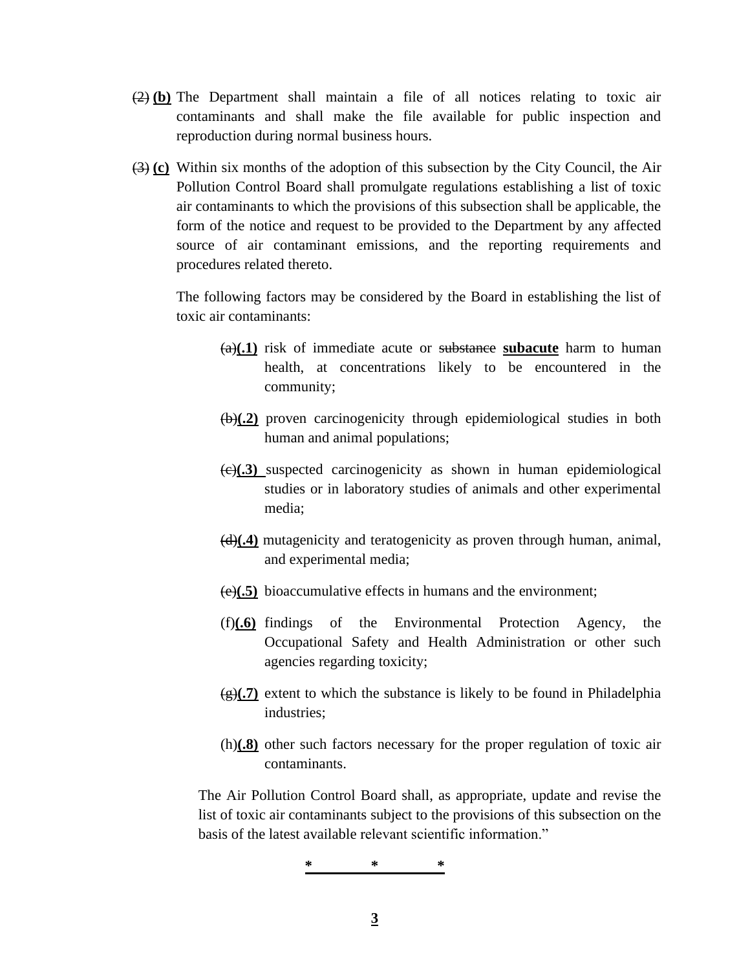- (2) **(b)** The Department shall maintain a file of all notices relating to toxic air contaminants and shall make the file available for public inspection and reproduction during normal business hours.
- (3) **(c)** Within six months of the adoption of this subsection by the City Council, the Air Pollution Control Board shall promulgate regulations establishing a list of toxic air contaminants to which the provisions of this subsection shall be applicable, the form of the notice and request to be provided to the Department by any affected source of air contaminant emissions, and the reporting requirements and procedures related thereto.

The following factors may be considered by the Board in establishing the list of toxic air contaminants:

- (a)**(.1)** risk of immediate acute or substance **subacute** harm to human health, at concentrations likely to be encountered in the community;
- (b)**(.2)** proven carcinogenicity through epidemiological studies in both human and animal populations;
- (c)**(.3)** suspected carcinogenicity as shown in human epidemiological studies or in laboratory studies of animals and other experimental media;
- (d)**(.4)** mutagenicity and teratogenicity as proven through human, animal, and experimental media;
- (e)**(.5)** bioaccumulative effects in humans and the environment;
- (f)**(.6)** findings of the Environmental Protection Agency, the Occupational Safety and Health Administration or other such agencies regarding toxicity;
- $\left(\frac{g}{f}\right)$  extent to which the substance is likely to be found in Philadelphia industries;
- (h)**(.8)** other such factors necessary for the proper regulation of toxic air contaminants.

The Air Pollution Control Board shall, as appropriate, update and revise the list of toxic air contaminants subject to the provisions of this subsection on the basis of the latest available relevant scientific information."

$$
\begin{array}{c}\n * \\
\hline\n \end{array}
$$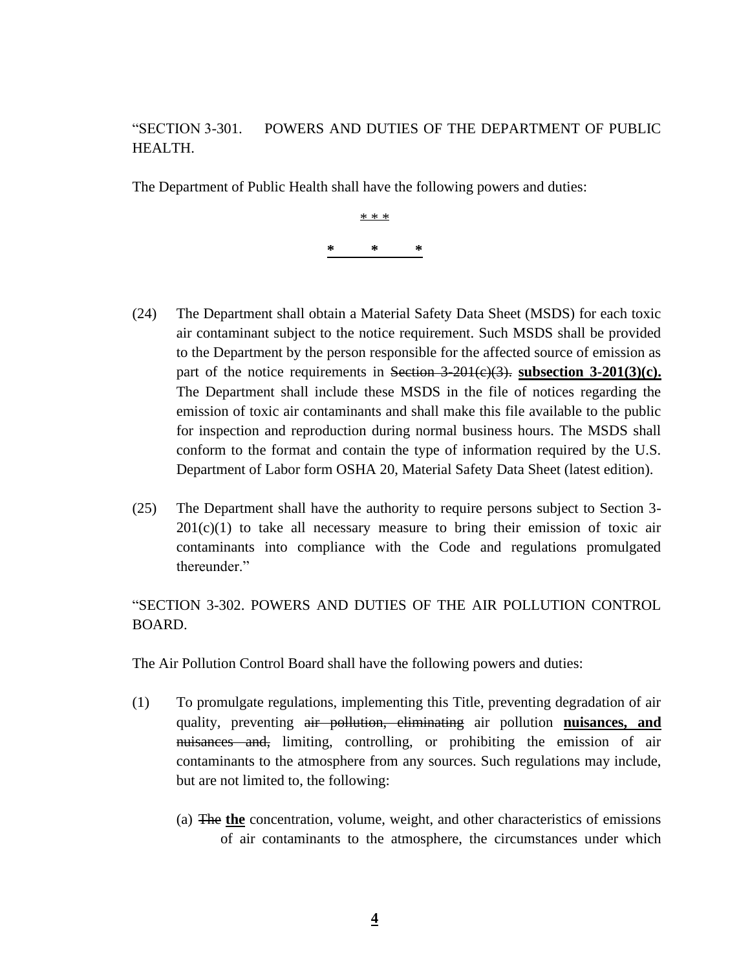# "SECTION 3-301. POWERS AND DUTIES OF THE DEPARTMENT OF PUBLIC HEALTH.

The Department of Public Health shall have the following powers and duties:

\* \* \* **\* \* \***

- (24) The Department shall obtain a Material Safety Data Sheet (MSDS) for each toxic air contaminant subject to the notice requirement. Such MSDS shall be provided to the Department by the person responsible for the affected source of emission as part of the notice requirements in Section  $3-201(\varepsilon)(3)$ . **subsection**  $3-201(3)(c)$ **.** The Department shall include these MSDS in the file of notices regarding the emission of toxic air contaminants and shall make this file available to the public for inspection and reproduction during normal business hours. The MSDS shall conform to the format and contain the type of information required by the U.S. Department of Labor form OSHA 20, Material Safety Data Sheet (latest edition).
- (25) The Department shall have the authority to require persons subject to Section 3-  $201(c)(1)$  to take all necessary measure to bring their emission of toxic air contaminants into compliance with the Code and regulations promulgated thereunder."

"SECTION 3-302. POWERS AND DUTIES OF THE AIR POLLUTION CONTROL BOARD.

The Air Pollution Control Board shall have the following powers and duties:

- (1) To promulgate regulations, implementing this Title, preventing degradation of air quality, preventing air pollution, eliminating air pollution **nuisances, and**  nuisances and, limiting, controlling, or prohibiting the emission of air contaminants to the atmosphere from any sources. Such regulations may include, but are not limited to, the following:
	- (a) The **the** concentration, volume, weight, and other characteristics of emissions of air contaminants to the atmosphere, the circumstances under which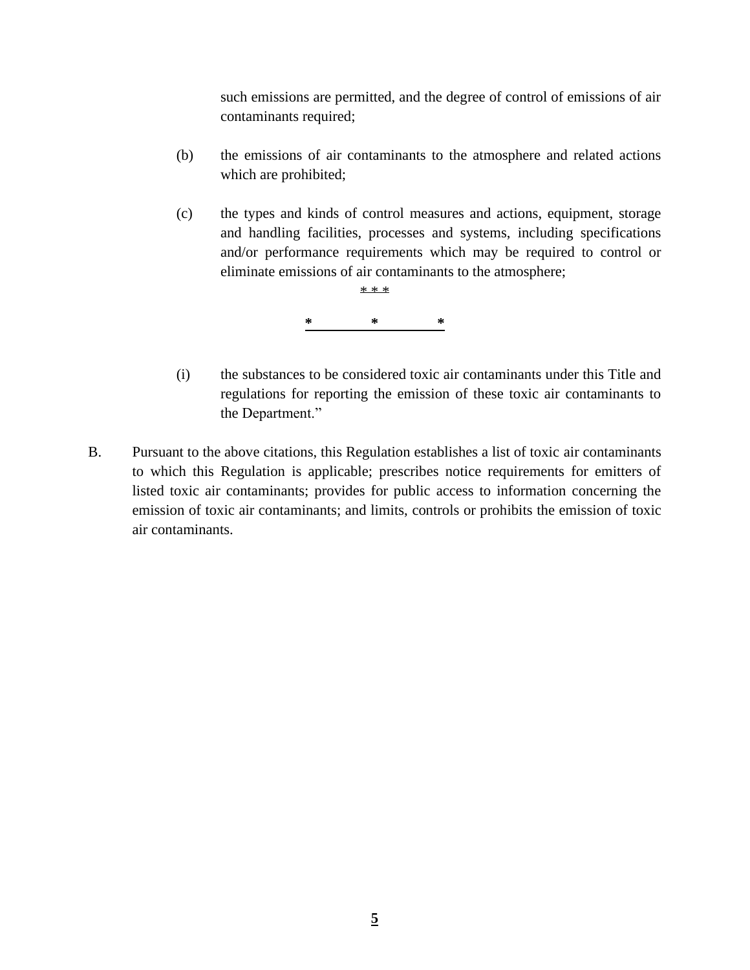such emissions are permitted, and the degree of control of emissions of air contaminants required;

- (b) the emissions of air contaminants to the atmosphere and related actions which are prohibited;
- (c) the types and kinds of control measures and actions, equipment, storage and handling facilities, processes and systems, including specifications and/or performance requirements which may be required to control or eliminate emissions of air contaminants to the atmosphere;



- (i) the substances to be considered toxic air contaminants under this Title and regulations for reporting the emission of these toxic air contaminants to the Department."
- B. Pursuant to the above citations, this Regulation establishes a list of toxic air contaminants to which this Regulation is applicable; prescribes notice requirements for emitters of listed toxic air contaminants; provides for public access to information concerning the emission of toxic air contaminants; and limits, controls or prohibits the emission of toxic air contaminants.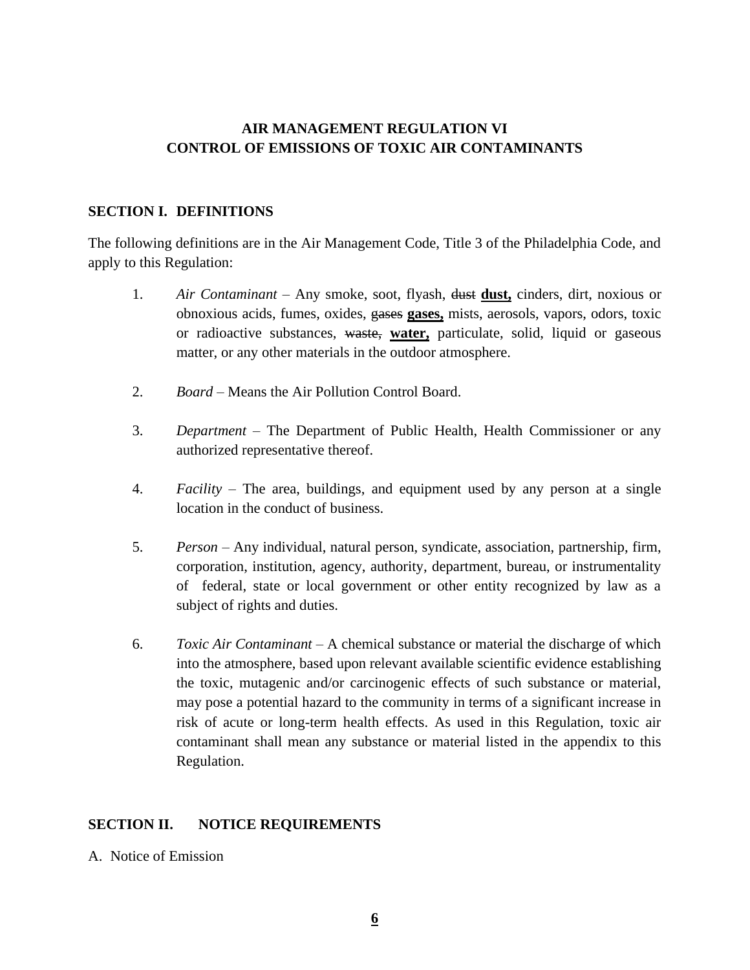# **AIR MANAGEMENT REGULATION VI CONTROL OF EMISSIONS OF TOXIC AIR CONTAMINANTS**

#### **SECTION I. DEFINITIONS**

The following definitions are in the Air Management Code, Title 3 of the Philadelphia Code, and apply to this Regulation:

- 1. *Air Contaminant* Any smoke, soot, flyash, dust **dust,** cinders, dirt, noxious or obnoxious acids, fumes, oxides, gases **gases,** mists, aerosols, vapors, odors, toxic or radioactive substances, waste, **water,** particulate, solid, liquid or gaseous matter, or any other materials in the outdoor atmosphere.
- 2. *Board* Means the Air Pollution Control Board.
- 3. *Department* The Department of Public Health, Health Commissioner or any authorized representative thereof.
- 4. *Facility* The area, buildings, and equipment used by any person at a single location in the conduct of business.
- 5. *Person* Any individual, natural person, syndicate, association, partnership, firm, corporation, institution, agency, authority, department, bureau, or instrumentality of federal, state or local government or other entity recognized by law as a subject of rights and duties.
- 6. *Toxic Air Contaminant* A chemical substance or material the discharge of which into the atmosphere, based upon relevant available scientific evidence establishing the toxic, mutagenic and/or carcinogenic effects of such substance or material, may pose a potential hazard to the community in terms of a significant increase in risk of acute or long-term health effects. As used in this Regulation, toxic air contaminant shall mean any substance or material listed in the appendix to this Regulation.

## **SECTION II. NOTICE REQUIREMENTS**

A. Notice of Emission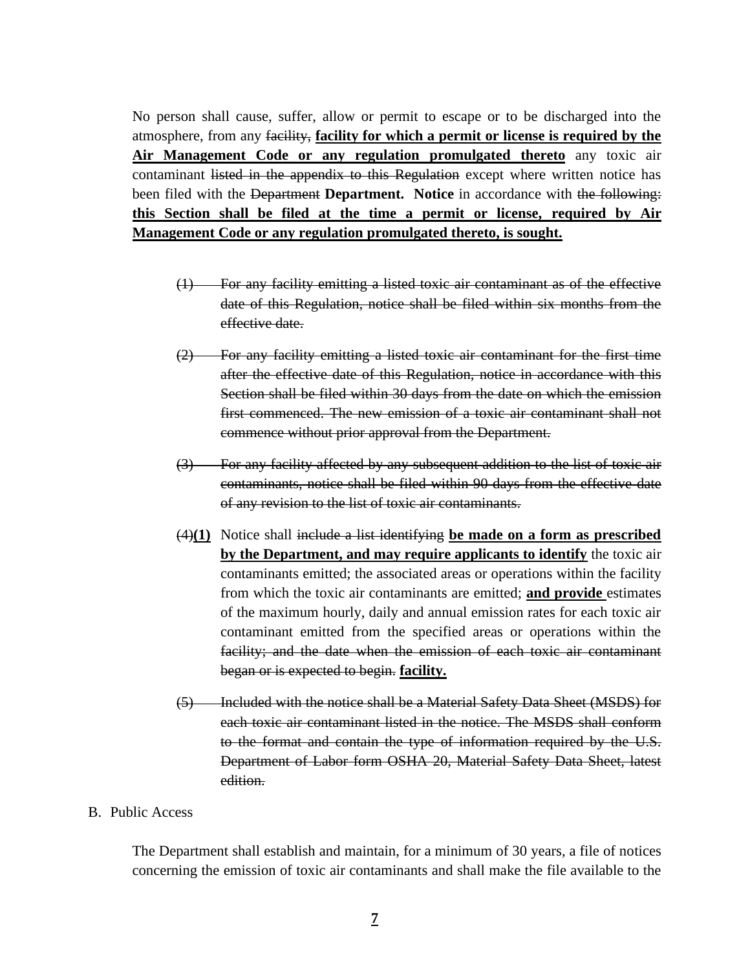No person shall cause, suffer, allow or permit to escape or to be discharged into the atmosphere, from any facility, **facility for which a permit or license is required by the Air Management Code or any regulation promulgated thereto** any toxic air contaminant listed in the appendix to this Regulation except where written notice has been filed with the Department **Department.** Notice in accordance with the following: **this Section shall be filed at the time a permit or license, required by Air Management Code or any regulation promulgated thereto, is sought.**

- (1) For any facility emitting a listed toxic air contaminant as of the effective date of this Regulation, notice shall be filed within six months from the effective date.
- (2) For any facility emitting a listed toxic air contaminant for the first time after the effective date of this Regulation, notice in accordance with this Section shall be filed within 30 days from the date on which the emission first commenced. The new emission of a toxic air contaminant shall not commence without prior approval from the Department.
- (3) For any facility affected by any subsequent addition to the list of toxic air contaminants, notice shall be filed within 90 days from the effective date of any revision to the list of toxic air contaminants.
- (4)**(1)** Notice shall include a list identifying **be made on a form as prescribed by the Department, and may require applicants to identify** the toxic air contaminants emitted; the associated areas or operations within the facility from which the toxic air contaminants are emitted; **and provide** estimates of the maximum hourly, daily and annual emission rates for each toxic air contaminant emitted from the specified areas or operations within the facility; and the date when the emission of each toxic air contaminant began or is expected to begin. **facility.**
- (5) Included with the notice shall be a Material Safety Data Sheet (MSDS) for each toxic air contaminant listed in the notice. The MSDS shall conform to the format and contain the type of information required by the U.S. Department of Labor form OSHA 20, Material Safety Data Sheet, latest edition.

#### B. Public Access

The Department shall establish and maintain, for a minimum of 30 years, a file of notices concerning the emission of toxic air contaminants and shall make the file available to the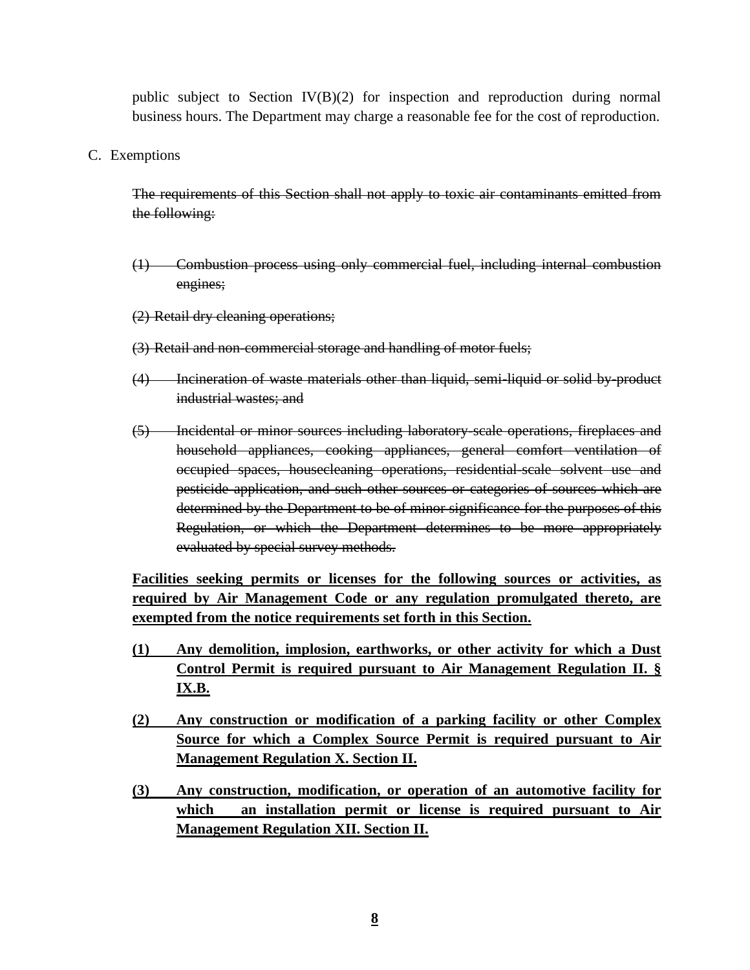public subject to Section IV(B)(2) for inspection and reproduction during normal business hours. The Department may charge a reasonable fee for the cost of reproduction.

C. Exemptions

The requirements of this Section shall not apply to toxic air contaminants emitted from the following:

- (1) Combustion process using only commercial fuel, including internal combustion engines;
- (2) Retail dry cleaning operations;
- (3) Retail and non-commercial storage and handling of motor fuels;
- (4) Incineration of waste materials other than liquid, semi-liquid or solid by-product industrial wastes; and
- (5) Incidental or minor sources including laboratory-scale operations, fireplaces and household appliances, cooking appliances, general comfort ventilation of occupied spaces, housecleaning operations, residential-scale solvent use and pesticide application, and such other sources or categories of sources which are determined by the Department to be of minor significance for the purposes of this Regulation, or which the Department determines to be more appropriately evaluated by special survey methods.

**Facilities seeking permits or licenses for the following sources or activities, as required by Air Management Code or any regulation promulgated thereto, are exempted from the notice requirements set forth in this Section.**

- **(1) Any demolition, implosion, earthworks, or other activity for which a Dust Control Permit is required pursuant to Air Management Regulation II. § IX.B.**
- **(2) Any construction or modification of a parking facility or other Complex Source for which a Complex Source Permit is required pursuant to Air Management Regulation X. Section II.**
- **(3) Any construction, modification, or operation of an automotive facility for which an installation permit or license is required pursuant to Air Management Regulation XII. Section II.**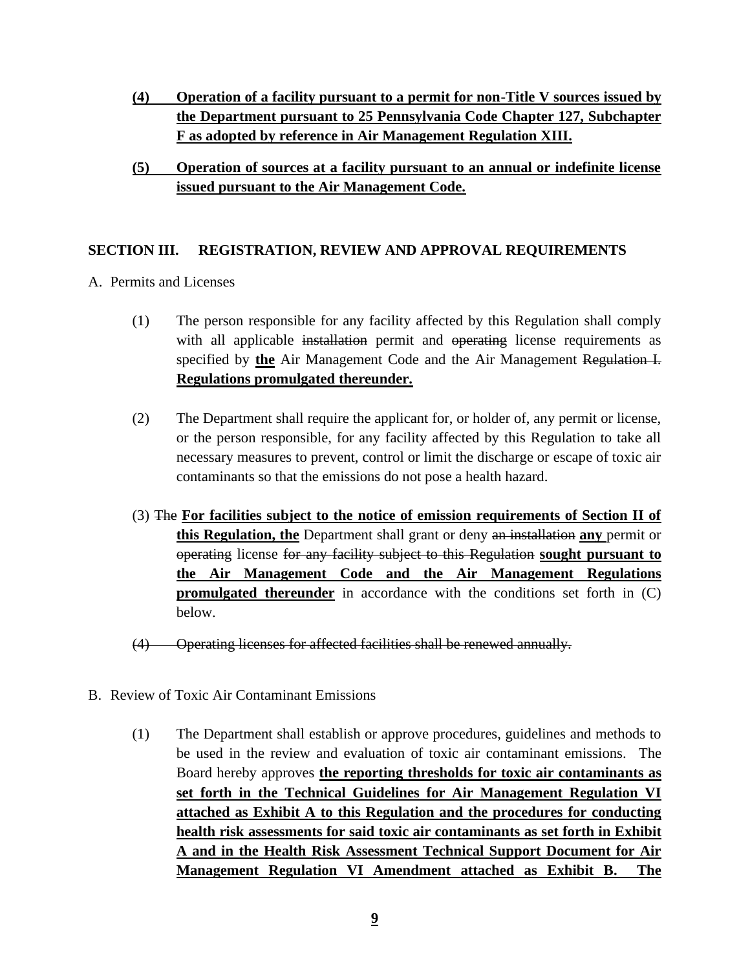- **(4) Operation of a facility pursuant to a permit for non-Title V sources issued by the Department pursuant to 25 Pennsylvania Code Chapter 127, Subchapter F as adopted by reference in Air Management Regulation XIII.**
- **(5) Operation of sources at a facility pursuant to an annual or indefinite license issued pursuant to the Air Management Code.**

#### **SECTION III. REGISTRATION, REVIEW AND APPROVAL REQUIREMENTS**

- A. Permits and Licenses
	- (1) The person responsible for any facility affected by this Regulation shall comply with all applicable installation permit and operating license requirements as specified by **the** Air Management Code and the Air Management Regulation I. **Regulations promulgated thereunder.**
	- (2) The Department shall require the applicant for, or holder of, any permit or license, or the person responsible, for any facility affected by this Regulation to take all necessary measures to prevent, control or limit the discharge or escape of toxic air contaminants so that the emissions do not pose a health hazard.
	- (3) The **For facilities subject to the notice of emission requirements of Section II of this Regulation, the** Department shall grant or deny an installation **any** permit or operating license for any facility subject to this Regulation **sought pursuant to the Air Management Code and the Air Management Regulations promulgated thereunder** in accordance with the conditions set forth in (C) below.
	- (4) Operating licenses for affected facilities shall be renewed annually.
- B. Review of Toxic Air Contaminant Emissions
	- (1) The Department shall establish or approve procedures, guidelines and methods to be used in the review and evaluation of toxic air contaminant emissions. The Board hereby approves **the reporting thresholds for toxic air contaminants as set forth in the Technical Guidelines for Air Management Regulation VI attached as Exhibit A to this Regulation and the procedures for conducting health risk assessments for said toxic air contaminants as set forth in Exhibit A and in the Health Risk Assessment Technical Support Document for Air Management Regulation VI Amendment attached as Exhibit B. The**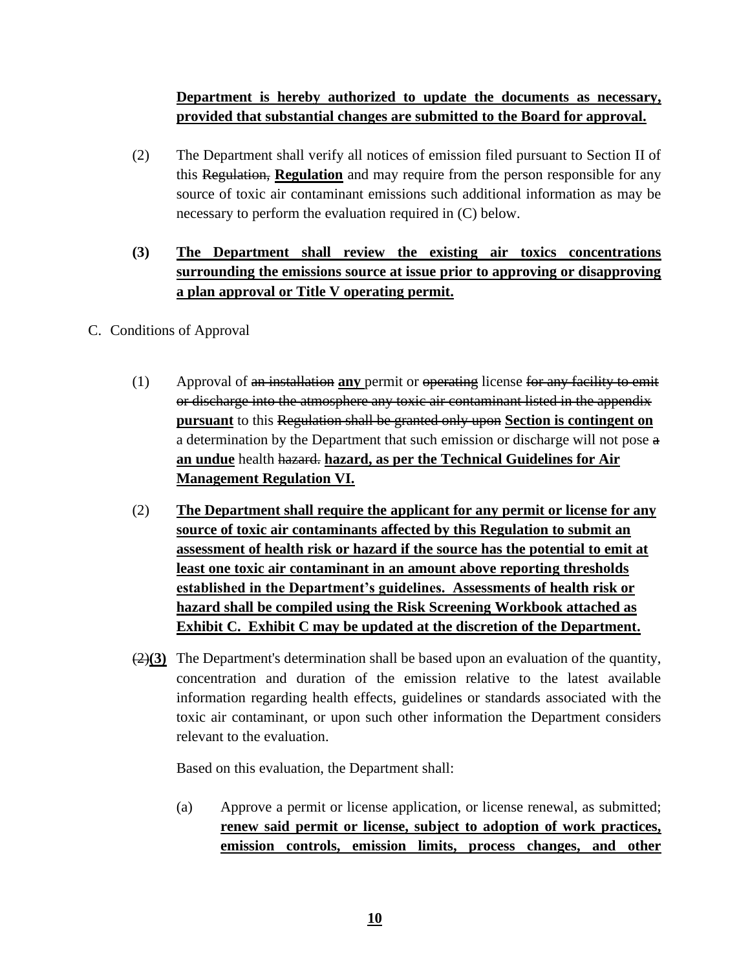# **Department is hereby authorized to update the documents as necessary, provided that substantial changes are submitted to the Board for approval.**

(2) The Department shall verify all notices of emission filed pursuant to Section II of this Regulation, **Regulation** and may require from the person responsible for any source of toxic air contaminant emissions such additional information as may be necessary to perform the evaluation required in (C) below.

# **(3) The Department shall review the existing air toxics concentrations surrounding the emissions source at issue prior to approving or disapproving a plan approval or Title V operating permit.**

## C. Conditions of Approval

- (1) Approval of an installation **any** permit or operating license for any facility to emit or discharge into the atmosphere any toxic air contaminant listed in the appendix **pursuant** to this Regulation shall be granted only upon **Section is contingent on** a determination by the Department that such emission or discharge will not pose a **an undue** health hazard. **hazard, as per the Technical Guidelines for Air Management Regulation VI.**
- (2) **The Department shall require the applicant for any permit or license for any source of toxic air contaminants affected by this Regulation to submit an assessment of health risk or hazard if the source has the potential to emit at least one toxic air contaminant in an amount above reporting thresholds established in the Department's guidelines. Assessments of health risk or hazard shall be compiled using the Risk Screening Workbook attached as Exhibit C. Exhibit C may be updated at the discretion of the Department.**
- (2)**(3)** The Department's determination shall be based upon an evaluation of the quantity, concentration and duration of the emission relative to the latest available information regarding health effects, guidelines or standards associated with the toxic air contaminant, or upon such other information the Department considers relevant to the evaluation.

Based on this evaluation, the Department shall:

(a) Approve a permit or license application, or license renewal, as submitted; **renew said permit or license, subject to adoption of work practices, emission controls, emission limits, process changes, and other**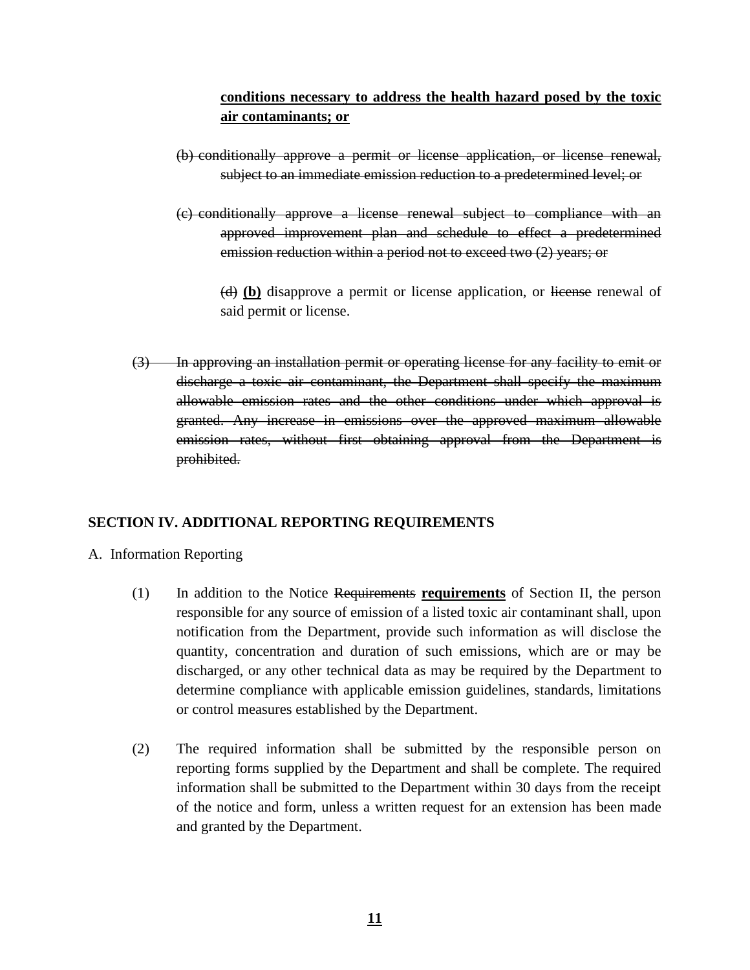# **conditions necessary to address the health hazard posed by the toxic air contaminants; or**

- (b) conditionally approve a permit or license application, or license renewal, subject to an immediate emission reduction to a predetermined level; or
- (c) conditionally approve a license renewal subject to compliance with an approved improvement plan and schedule to effect a predetermined emission reduction within a period not to exceed two (2) years; or

(d) **(b)** disapprove a permit or license application, or license renewal of said permit or license.

(3) In approving an installation permit or operating license for any facility to emit or discharge a toxic air contaminant, the Department shall specify the maximum allowable emission rates and the other conditions under which approval is granted. Any increase in emissions over the approved maximum allowable emission rates, without first obtaining approval from the Department is prohibited.

# **SECTION IV. ADDITIONAL REPORTING REQUIREMENTS**

#### A. Information Reporting

- (1) In addition to the Notice Requirements **requirements** of Section II, the person responsible for any source of emission of a listed toxic air contaminant shall, upon notification from the Department, provide such information as will disclose the quantity, concentration and duration of such emissions, which are or may be discharged, or any other technical data as may be required by the Department to determine compliance with applicable emission guidelines, standards, limitations or control measures established by the Department.
- (2) The required information shall be submitted by the responsible person on reporting forms supplied by the Department and shall be complete. The required information shall be submitted to the Department within 30 days from the receipt of the notice and form, unless a written request for an extension has been made and granted by the Department.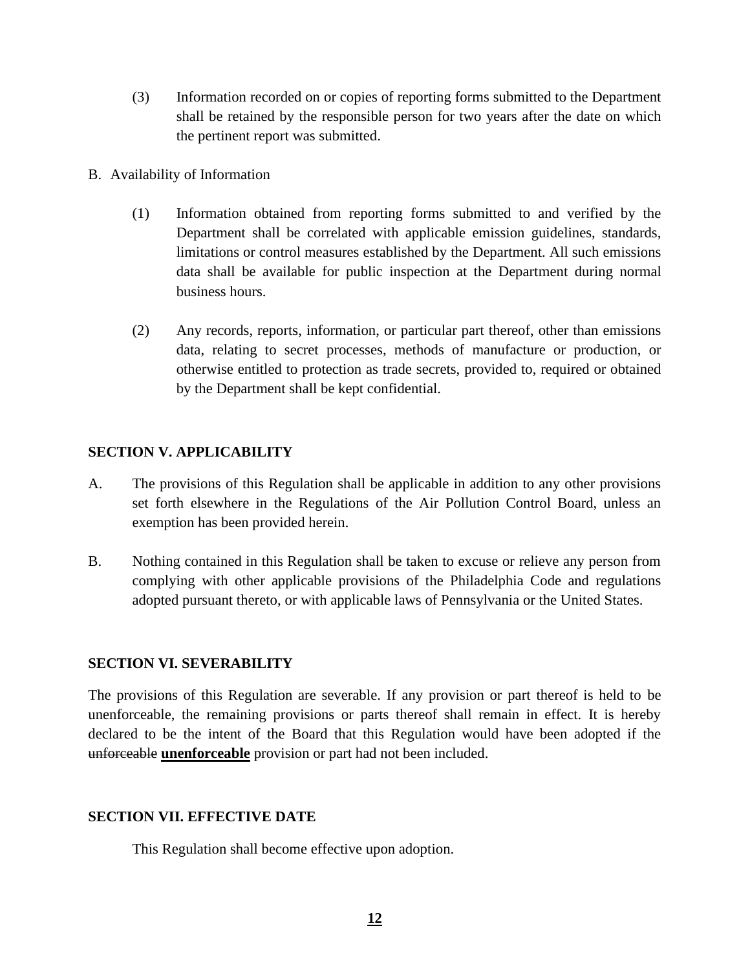- (3) Information recorded on or copies of reporting forms submitted to the Department shall be retained by the responsible person for two years after the date on which the pertinent report was submitted.
- B. Availability of Information
	- (1) Information obtained from reporting forms submitted to and verified by the Department shall be correlated with applicable emission guidelines, standards, limitations or control measures established by the Department. All such emissions data shall be available for public inspection at the Department during normal business hours.
	- (2) Any records, reports, information, or particular part thereof, other than emissions data, relating to secret processes, methods of manufacture or production, or otherwise entitled to protection as trade secrets, provided to, required or obtained by the Department shall be kept confidential.

## **SECTION V. APPLICABILITY**

- A. The provisions of this Regulation shall be applicable in addition to any other provisions set forth elsewhere in the Regulations of the Air Pollution Control Board, unless an exemption has been provided herein.
- B. Nothing contained in this Regulation shall be taken to excuse or relieve any person from complying with other applicable provisions of the Philadelphia Code and regulations adopted pursuant thereto, or with applicable laws of Pennsylvania or the United States.

## **SECTION VI. SEVERABILITY**

The provisions of this Regulation are severable. If any provision or part thereof is held to be unenforceable, the remaining provisions or parts thereof shall remain in effect. It is hereby declared to be the intent of the Board that this Regulation would have been adopted if the unforceable **unenforceable** provision or part had not been included.

## **SECTION VII. EFFECTIVE DATE**

This Regulation shall become effective upon adoption.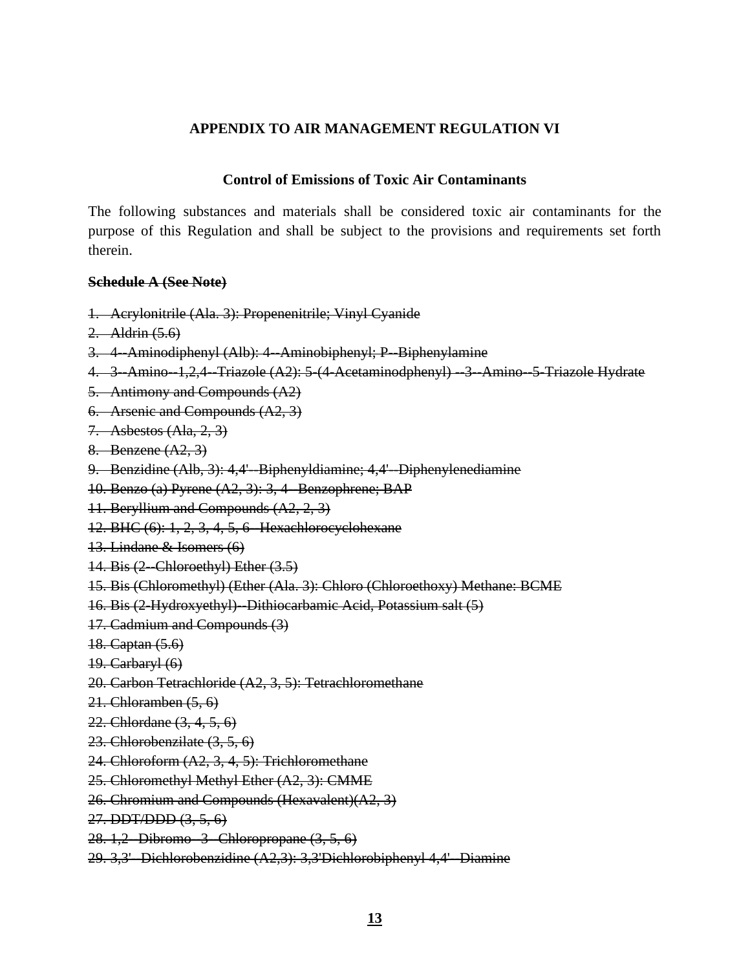#### **APPENDIX TO AIR MANAGEMENT REGULATION VI**

#### **Control of Emissions of Toxic Air Contaminants**

The following substances and materials shall be considered toxic air contaminants for the purpose of this Regulation and shall be subject to the provisions and requirements set forth therein.

#### **Schedule A (See Note)**

- 1. Acrylonitrile (Ala. 3): Propenenitrile; Vinyl Cyanide
- 2. Aldrin (5.6)
- 3. 4-Aminodiphenyl (Alb): 4-Aminobiphenyl; P-Biphenylamine
- 4. 3 Amino 1,2,4 Triazole (A2): 5 (4 Acetaminodphenyl) 3 Amino 5 Triazole Hydrate
- 5. Antimony and Compounds (A2)
- 6. Arsenic and Compounds (A2, 3)
- 7. Asbestos (Ala, 2, 3)
- 8. Benzene (A2, 3)
- 9. Benzidine (Alb, 3): 4,4'-Biphenyldiamine; 4,4'-Diphenylenediamine
- 10. Benzo (a) Pyrene (A2, 3): 3, 4--Benzophrene; BAP
- 11. Beryllium and Compounds (A2, 2, 3)
- 12. BHC (6): 1, 2, 3, 4, 5, 6--Hexachlorocyclohexane
- 13. Lindane & Isomers (6)
- $14. Bis (2-Chloroethyl) Ether (3.5)$
- 15. Bis (Chloromethyl) (Ether (Ala. 3): Chloro (Chloroethoxy) Methane: BCME
- 16. Bis (2-Hydroxyethyl)--Dithiocarbamic Acid, Potassium salt (5)
- 17. Cadmium and Compounds (3)
- 18. Captan (5.6)
- 19. Carbaryl (6)
- 20. Carbon Tetrachloride (A2, 3, 5): Tetrachloromethane
- 21. Chloramben (5, 6)
- 22. Chlordane (3, 4, 5, 6)
- 23. Chlorobenzilate (3, 5, 6)
- 24. Chloroform (A2, 3, 4, 5): Trichloromethane
- 25. Chloromethyl Methyl Ether (A2, 3): CMME
- 26. Chromium and Compounds (Hexavalent)(A2, 3)
- 27. DDT/DDD (3, 5, 6)
- 28. 1,2 Dibromo 3 Chloropropane (3, 5, 6)
- 29. 3,3'--Dichlorobenzidine (A2,3): 3,3'Dichlorobiphenyl 4,4'--Diamine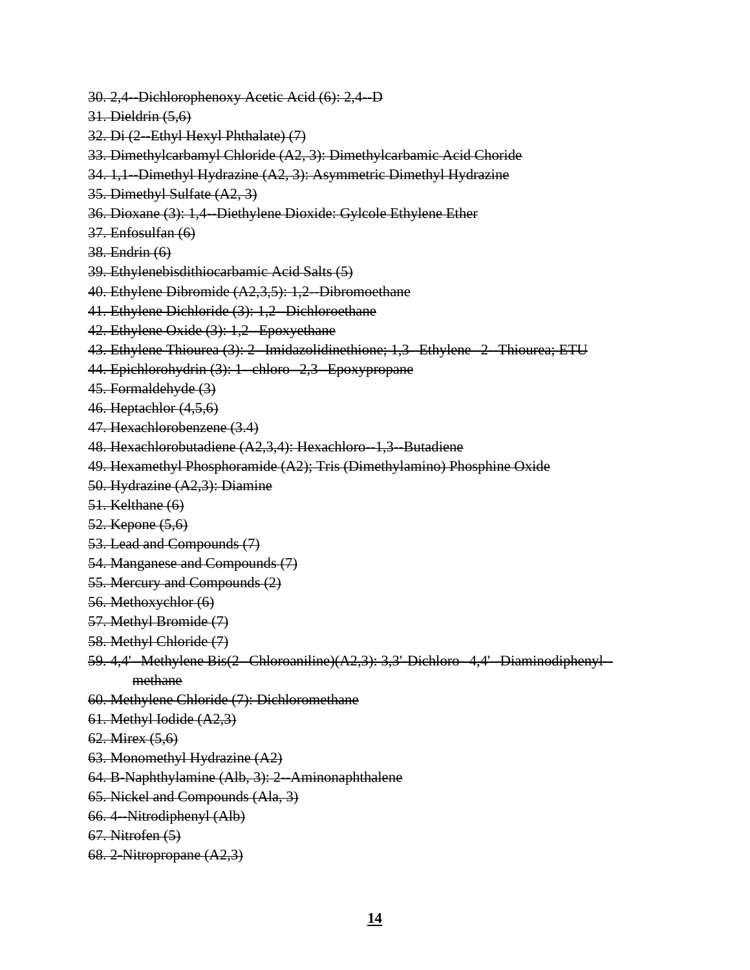- 30. 2,4--Dichlorophenoxy Acetic Acid (6): 2,4--D
- 31. Dieldrin (5,6)
- 32. Di (2-Ethyl Hexyl Phthalate) (7)
- 33. Dimethylcarbamyl Chloride (A2, 3): Dimethylcarbamic Acid Choride
- 34. 1,1--Dimethyl Hydrazine (A2, 3): Asymmetric Dimethyl Hydrazine
- 35. Dimethyl Sulfate (A2, 3)
- 36. Dioxane (3): 1,4--Diethylene Dioxide: Gylcole Ethylene Ether
- 37. Enfosulfan (6)
- 38. Endrin (6)
- 39. Ethylenebisdithiocarbamic Acid Salts (5)
- 40. Ethylene Dibromide (A2,3,5): 1,2--Dibromoethane
- 41. Ethylene Dichloride (3): 1,2 Dichloroethane
- 42. Ethylene Oxide (3): 1,2--Epoxyethane
- 43. Ethylene Thiourea (3): 2--Imidazolidinethione; 1,3--Ethylene--2--Thiourea; ETU
- 44. Epichlorohydrin (3): 1-chloro-2,3-Epoxypropane
- 45. Formaldehyde (3)
- 46. Heptachlor (4,5,6)
- 47. Hexachlorobenzene (3.4)
- 48. Hexachlorobutadiene (A2,3,4): Hexachloro-1,3 Butadiene
- 49. Hexamethyl Phosphoramide (A2); Tris (Dimethylamino) Phosphine Oxide
- 50. Hydrazine (A2,3): Diamine
- 51. Kelthane (6)
- 52. Kepone (5,6)
- 53. Lead and Compounds (7)
- 54. Manganese and Compounds (7)
- 55. Mercury and Compounds (2)
- 56. Methoxychlor (6)
- 57. Methyl Bromide (7)
- 58. Methyl Chloride (7)
- 59. 4,4'-Methylene Bis(2--Chloroaniline)(A2,3): 3,3'-Dichloro--4,4'--Diaminodiphenyl-methane
- 60. Methylene Chloride (7): Dichloromethane
- 61. Methyl Iodide (A2,3)
- 62. Mirex (5,6)
- 63. Monomethyl Hydrazine (A2)
- 64. B-Naphthylamine (Alb, 3): 2--Aminonaphthalene
- 65. Nickel and Compounds (Ala, 3)
- 66. 4--Nitrodiphenyl (Alb)
- 67. Nitrofen (5)
- 68. 2-Nitropropane (A2,3)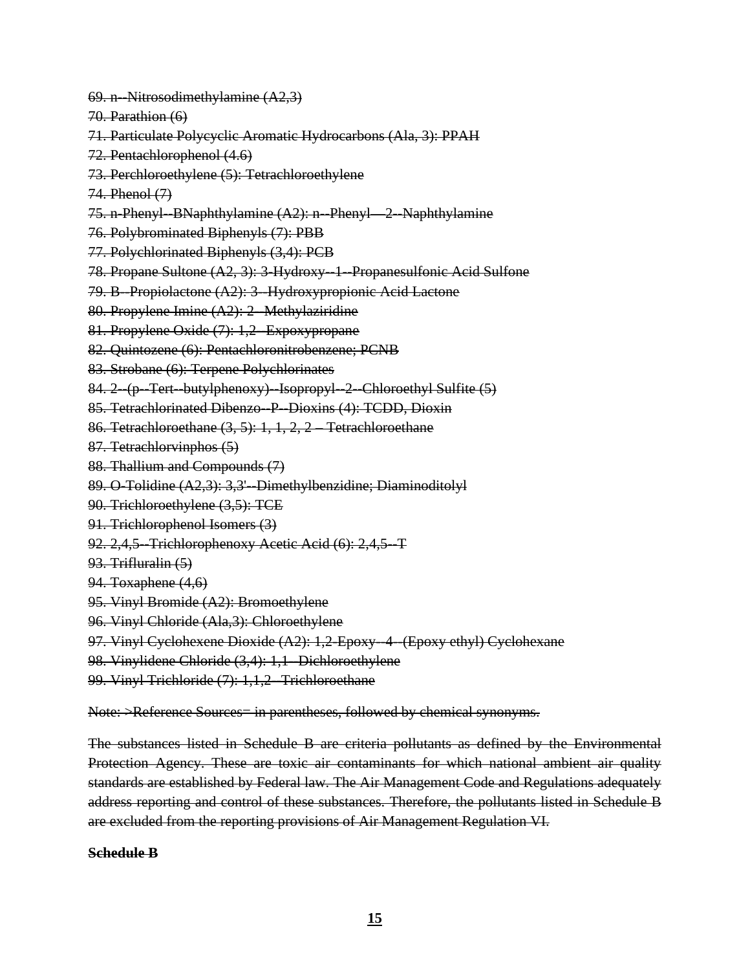- 69. n--Nitrosodimethylamine (A2,3)
- 70. Parathion (6)
- 71. Particulate Polycyclic Aromatic Hydrocarbons (Ala, 3): PPAH
- 72. Pentachlorophenol (4.6)
- 73. Perchloroethylene (5): Tetrachloroethylene
- 74. Phenol (7)
- 75. n-Phenyl--BNaphthylamine (A2): n--Phenyl—2--Naphthylamine
- 76. Polybrominated Biphenyls (7): PBB
- 77. Polychlorinated Biphenyls (3,4): PCB
- 78. Propane Sultone (A2, 3): 3-Hydroxy--1--Propanesulfonic Acid Sulfone
- 79. B--Propiolactone (A2): 3--Hydroxypropionic Acid Lactone
- 80. Propylene Imine (A2): 2-Methylaziridine
- 81. Propylene Oxide (7): 1,2--Expoxypropane
- 82. Quintozene (6): Pentachloronitrobenzene; PCNB
- 83. Strobane (6): Terpene Polychlorinates
- 84. 2--(p--Tert--butylphenoxy)--Isopropyl--2--Chloroethyl Sulfite (5)
- 85. Tetrachlorinated Dibenzo--P--Dioxins (4): TCDD, Dioxin
- 86. Tetrachloroethane (3, 5): 1, 1, 2, 2 Tetrachloroethane
- 87. Tetrachlorvinphos (5)
- 88. Thallium and Compounds (7)
- 89. O-Tolidine (A2,3): 3,3'-Dimethylbenzidine; Diaminoditolyl
- 90. Trichloroethylene (3,5): TCE
- 91. Trichlorophenol Isomers (3)
- 92. 2,4,5 Trichlorophenoxy Acetic Acid (6): 2,4,5 T
- 93. Trifluralin (5)
- 94. Toxaphene (4,6)
- 95. Vinyl Bromide (A2): Bromoethylene
- 96. Vinyl Chloride (Ala,3): Chloroethylene
- 97. Vinyl Cyclohexene Dioxide (A2): 1,2-Epoxy--4--(Epoxy ethyl) Cyclohexane
- 98. Vinylidene Chloride (3,4): 1,1-Dichloroethylene
- 99. Vinyl Trichloride (7): 1,1,2-Trichloroethane

Note: >Reference Sources= in parentheses, followed by chemical synonyms.

The substances listed in Schedule B are criteria pollutants as defined by the Environmental Protection Agency. These are toxic air contaminants for which national ambient air quality standards are established by Federal law. The Air Management Code and Regulations adequately address reporting and control of these substances. Therefore, the pollutants listed in Schedule B are excluded from the reporting provisions of Air Management Regulation VI.

**Schedule B**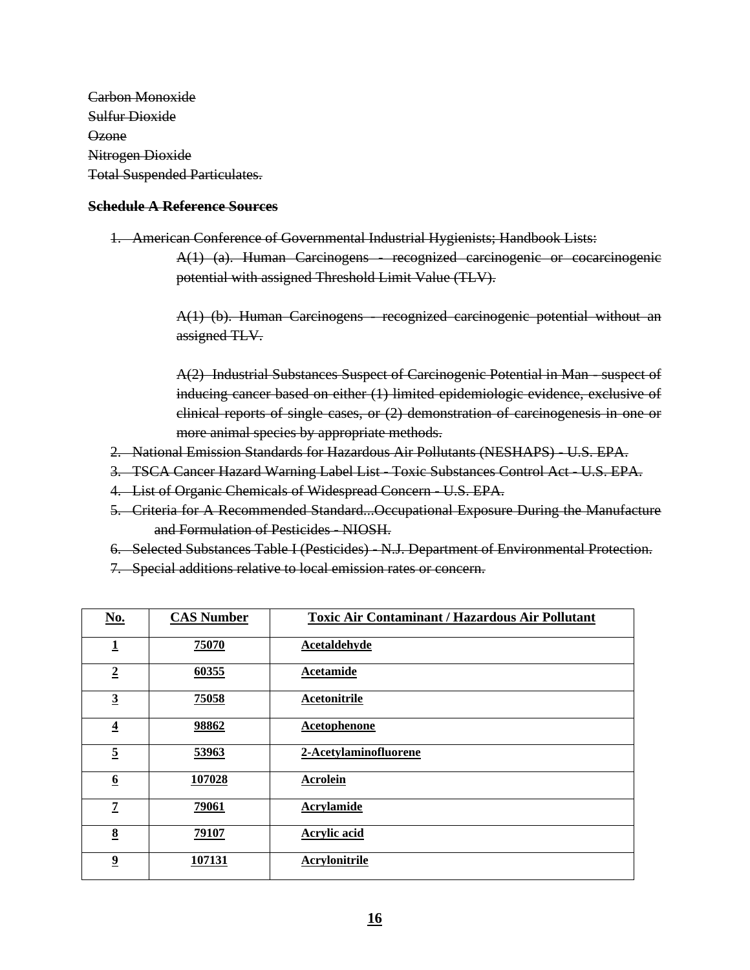Carbon Monoxide Sulfur Dioxide Ozone Nitrogen Dioxide Total Suspended Particulates.

#### **Schedule A Reference Sources**

1. American Conference of Governmental Industrial Hygienists; Handbook Lists: A(1) (a). Human Carcinogens - recognized carcinogenic or cocarcinogenic potential with assigned Threshold Limit Value (TLV).

> A(1) (b). Human Carcinogens - recognized carcinogenic potential without an assigned TLV.

> A(2) Industrial Substances Suspect of Carcinogenic Potential in Man - suspect of inducing cancer based on either (1) limited epidemiologic evidence, exclusive of clinical reports of single cases, or (2) demonstration of carcinogenesis in one or more animal species by appropriate methods.

- 2. National Emission Standards for Hazardous Air Pollutants (NESHAPS) U.S. EPA.
- 3. TSCA Cancer Hazard Warning Label List Toxic Substances Control Act U.S. EPA.
- 4. List of Organic Chemicals of Widespread Concern U.S. EPA.
- 5. Criteria for A Recommended Standard...Occupational Exposure During the Manufacture and Formulation of Pesticides - NIOSH.
- 6. Selected Substances Table I (Pesticides) N.J. Department of Environmental Protection.
- 7. Special additions relative to local emission rates or concern.

| No.                     | <b>CAS Number</b> | <b>Toxic Air Contaminant / Hazardous Air Pollutant</b> |
|-------------------------|-------------------|--------------------------------------------------------|
| $\mathbf{1}$            | 75070             | <b>Acetaldehyde</b>                                    |
| $\overline{2}$          | 60355             | <b>Acetamide</b>                                       |
| $\overline{3}$          | 75058             | Acetonitrile                                           |
| $\overline{\mathbf{4}}$ | 98862             | <b>Acetophenone</b>                                    |
| $\overline{5}$          | 53963             | 2-Acetylaminofluorene                                  |
| $6\overline{6}$         | 107028            | <b>Acrolein</b>                                        |
| $\overline{z}$          | 79061             | <b>Acrylamide</b>                                      |
| 8                       | 79107             | <b>Acrylic acid</b>                                    |
| $\overline{\mathbf{2}}$ | 107131            | <b>Acrylonitrile</b>                                   |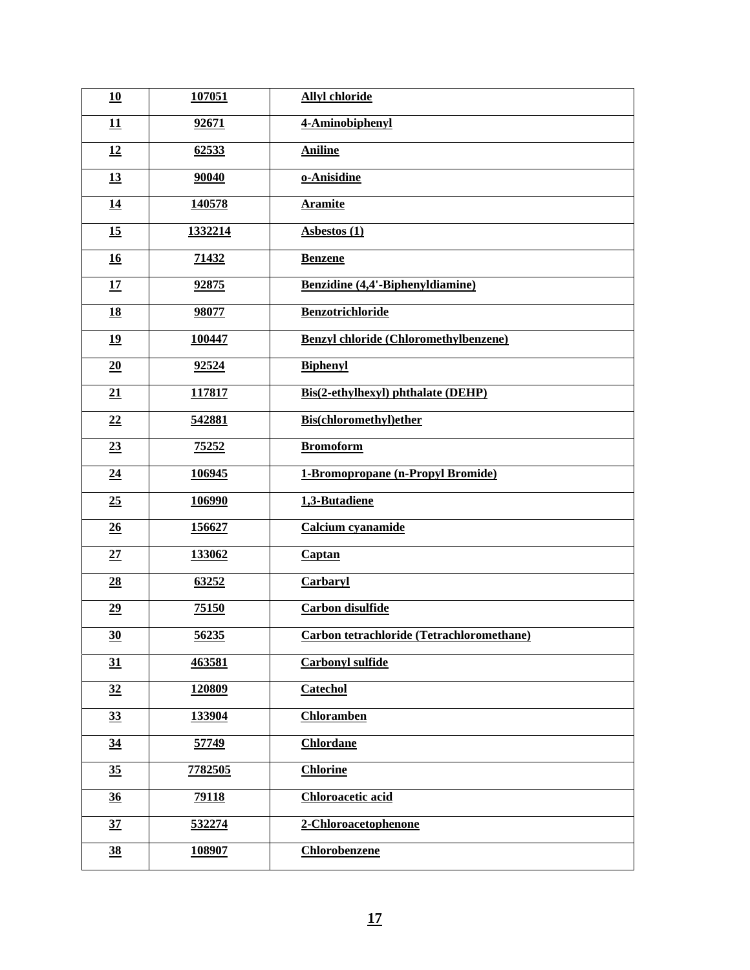| 10               | 107051  | <b>Allyl chloride</b>                        |
|------------------|---------|----------------------------------------------|
| 11               | 92671   | 4-Aminobiphenyl                              |
| 12               | 62533   | <b>Aniline</b>                               |
| 13               | 90040   | o-Anisidine                                  |
| 14               | 140578  | <b>Aramite</b>                               |
| 15               | 1332214 | <b>Asbestos (1)</b>                          |
| 16               | 71432   | <b>Benzene</b>                               |
| 17               | 92875   | Benzidine (4,4'-Biphenyldiamine)             |
| 18               | 98077   | <b>Benzotrichloride</b>                      |
| 19               | 100447  | <b>Benzyl chloride (Chloromethylbenzene)</b> |
| 20               | 92524   | <b>Biphenyl</b>                              |
| 21               | 117817  | Bis(2-ethylhexyl) phthalate (DEHP)           |
| 22               | 542881  | <b>Bis(chloromethyl)ether</b>                |
| 23               | 75252   | <b>Bromoform</b>                             |
| $\underline{24}$ | 106945  | 1-Bromopropane (n-Propyl Bromide)            |
| 25               | 106990  | 1,3-Butadiene                                |
| 26               | 156627  | Calcium cyanamide                            |
| 27               | 133062  | Captan                                       |
| $\underline{28}$ | 63252   | <b>Carbaryl</b>                              |
| 29               | 75150   | <b>Carbon</b> disulfide                      |
| 30               | 56235   | Carbon tetrachloride (Tetrachloromethane)    |
| 31               | 463581  | <b>Carbonyl sulfide</b>                      |
| 32               | 120809  | <b>Catechol</b>                              |
| $\frac{33}{5}$   | 133904  | <b>Chloramben</b>                            |
| $\underline{34}$ | 57749   | <b>Chlordane</b>                             |
| 35 <sub>1</sub>  | 7782505 | <b>Chlorine</b>                              |
| 36               | 79118   | <b>Chloroacetic acid</b>                     |
| 37               | 532274  | 2-Chloroacetophenone                         |
| $\frac{38}{5}$   | 108907  | Chlorobenzene                                |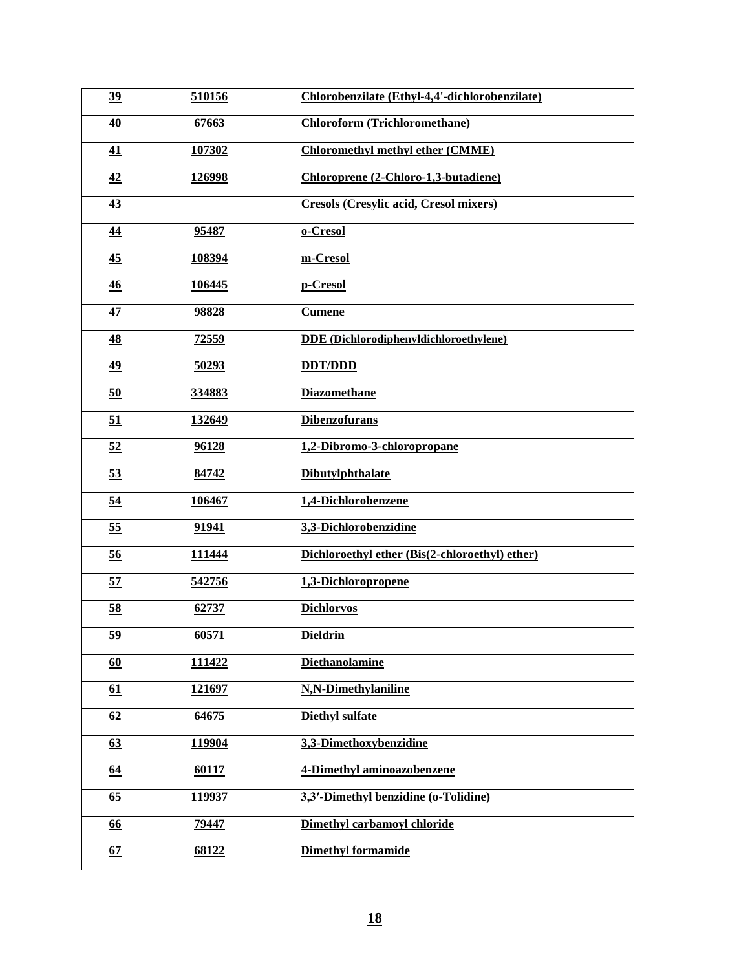| 39              | 510156       | Chlorobenzilate (Ethyl-4,4'-dichlorobenzilate) |
|-----------------|--------------|------------------------------------------------|
| 40              | 67663        | <b>Chloroform (Trichloromethane)</b>           |
| 41              | 107302       | <b>Chloromethyl methyl ether (CMME)</b>        |
| $\frac{42}{5}$  | 126998       | Chloroprene (2-Chloro-1,3-butadiene)           |
| 43              |              | <b>Cresols (Cresylic acid, Cresol mixers)</b>  |
| 44              | 95487        | o-Cresol                                       |
| $\overline{45}$ | 108394       | m-Cresol                                       |
| 46              | 106445       | p-Cresol                                       |
| 47              | 98828        | <b>Cumene</b>                                  |
| $\frac{48}{5}$  | <u>72559</u> | DDE (Dichlorodiphenyldichloroethylene)         |
| 49              | 50293        | <b>DDT/DDD</b>                                 |
| 50              | 334883       | <b>Diazomethane</b>                            |
| 51              | 132649       | <b>Dibenzofurans</b>                           |
| 52              | 96128        | 1,2-Dibromo-3-chloropropane                    |
| 53              | 84742        | <b>Dibutylphthalate</b>                        |
| 54              | 106467       | 1,4-Dichlorobenzene                            |
| 55              | 91941        | 3,3-Dichlorobenzidine                          |
| $\overline{56}$ | 111444       | Dichloroethyl ether (Bis(2-chloroethyl) ether) |
| 57              | 542756       | 1,3-Dichloropropene                            |
| 58              | 62737        | <b>Dichlorvos</b>                              |
| <u>59</u>       | 60571        | <b>Dieldrin</b>                                |
| 60              | 111422       | <b>Diethanolamine</b>                          |
| 61              | 121697       | N,N-Dimethylaniline                            |
| 62              | 64675        | <b>Diethyl sulfate</b>                         |
| 63              | 119904       | 3,3-Dimethoxybenzidine                         |
| 64              | 60117        | 4-Dimethyl aminoazobenzene                     |
| <u>65</u>       | 119937       | 3,3'-Dimethyl benzidine (o-Tolidine)           |
| <u>66</u>       | 79447        | Dimethyl carbamoyl chloride                    |
| 67              | 68122        | <b>Dimethyl formamide</b>                      |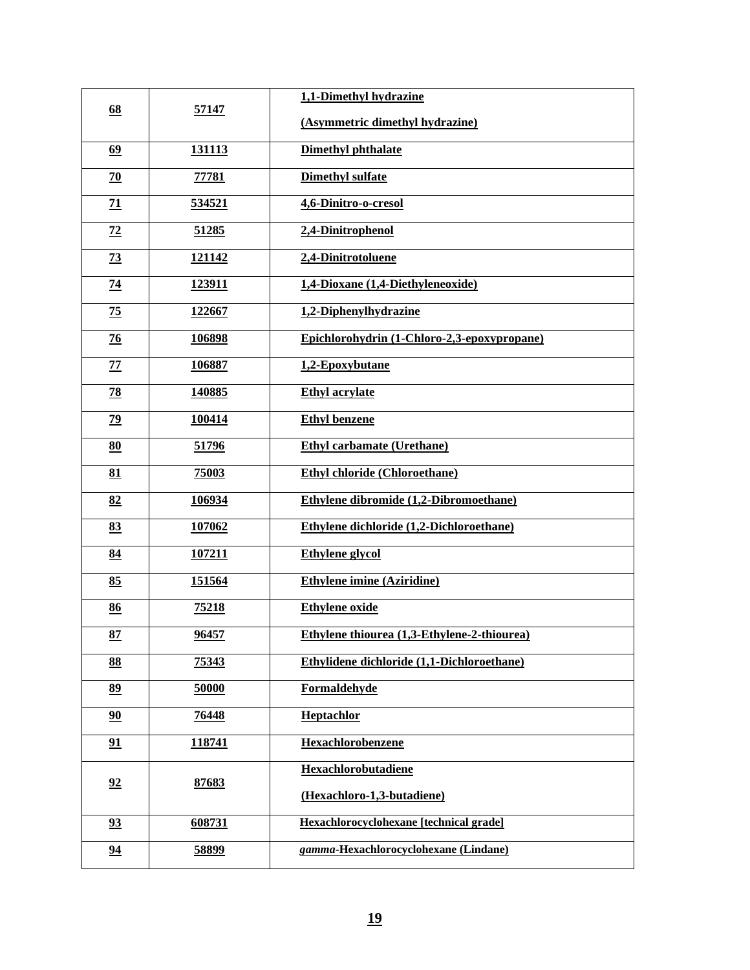|                 | 57147         | 1,1-Dimethyl hydrazine                      |
|-----------------|---------------|---------------------------------------------|
| 68              |               | (Asymmetric dimethyl hydrazine)             |
| 69              | 131113        | <b>Dimethyl phthalate</b>                   |
| $\overline{20}$ | <b>77781</b>  | <b>Dimethyl sulfate</b>                     |
| $\overline{11}$ | 534521        | 4,6-Dinitro-o-cresol                        |
| 72              | 51285         | 2,4-Dinitrophenol                           |
| $\frac{73}{2}$  | 121142        | 2,4-Dinitrotoluene                          |
| <u>74</u>       | 123911        | 1,4-Dioxane (1,4-Diethyleneoxide)           |
| 75              | 122667        | 1,2-Diphenylhydrazine                       |
| $\frac{76}{2}$  | <u>106898</u> | Epichlorohydrin (1-Chloro-2,3-epoxypropane) |
| <u>77</u>       | 106887        | 1,2-Epoxybutane                             |
| 78              | 140885        | <b>Ethyl acrylate</b>                       |
| $\overline{29}$ | 100414        | <b>Ethyl benzene</b>                        |
| 80              | 51796         | <b>Ethyl carbamate (Urethane)</b>           |
| 81              | 75003         | <b>Ethyl chloride (Chloroethane)</b>        |
| 82              | <u>106934</u> | Ethylene dibromide (1,2-Dibromoethane)      |
| 83              | 107062        | Ethylene dichloride (1,2-Dichloroethane)    |
| 84              | 107211        | <b>Ethylene</b> glycol                      |
| 85              | 151564        | <b>Ethylene imine (Aziridine)</b>           |
| 86              | 75218         | <b>Ethylene</b> oxide                       |
| 87              | 96457         | Ethylene thiourea (1,3-Ethylene-2-thiourea) |
| 88              | 75343         | Ethylidene dichloride (1,1-Dichloroethane)  |
| 89              | 50000         | <b>Formaldehyde</b>                         |
| 90              | 76448         | Heptachlor                                  |
| 91              | 118741        | Hexachlorobenzene                           |
| 92              | 87683         | Hexachlorobutadiene                         |
|                 |               | (Hexachloro-1,3-butadiene)                  |
| 93              | 608731        | Hexachlorocyclohexane [technical grade]     |
| 94              | 58899         | gamma-Hexachlorocyclohexane (Lindane)       |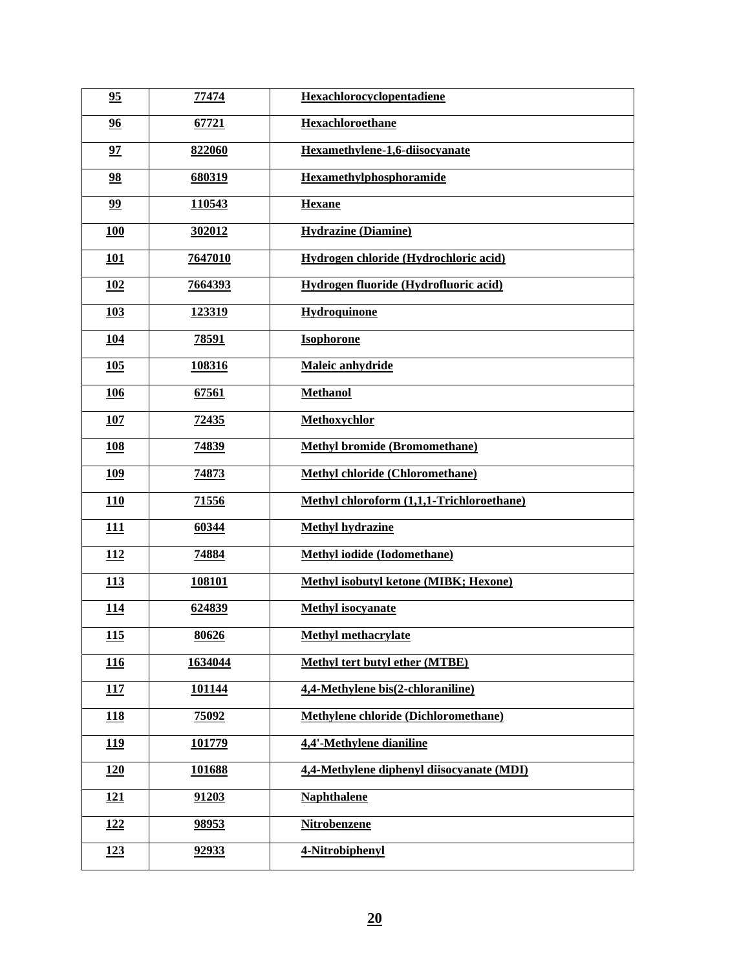| 95         | 77474        | Hexachlorocyclopentadiene                   |
|------------|--------------|---------------------------------------------|
| 96         | 67721        | <b>Hexachloroethane</b>                     |
| 97         | 822060       | Hexamethylene-1,6-diisocyanate              |
| 98         | 680319       | <b>Hexamethylphosphoramide</b>              |
| 99         | 110543       | <b>Hexane</b>                               |
| <b>100</b> | 302012       | <b>Hydrazine (Diamine)</b>                  |
| 101        | 7647010      | Hydrogen chloride (Hydrochloric acid)       |
| <u>102</u> | 7664393      | Hydrogen fluoride (Hydrofluoric acid)       |
| 103        | 123319       | Hydroquinone                                |
| <u>104</u> | <u>78591</u> | <b>Isophorone</b>                           |
| 105        | 108316       | Maleic anhydride                            |
| <b>106</b> | 67561        | <b>Methanol</b>                             |
| <b>107</b> | 72435        | Methoxychlor                                |
| <b>108</b> | 74839        | <b>Methyl bromide (Bromomethane)</b>        |
| <u>109</u> | 74873        | <b>Methyl chloride (Chloromethane)</b>      |
| <u>110</u> | <u>71556</u> | Methyl chloroform (1,1,1-Trichloroethane)   |
| 111        | 60344        | <b>Methyl hydrazine</b>                     |
| <u>112</u> | 74884        | <b>Methyl iodide (Iodomethane)</b>          |
| <u>113</u> | 108101       | Methyl isobutyl ketone (MIBK; Hexone)       |
| <u>114</u> | 624839       | <b>Methyl isocyanate</b>                    |
| 115        | 80626        | <b>Methyl methacrylate</b>                  |
| <u>116</u> | 1634044      | <b>Methyl tert butyl ether (MTBE)</b>       |
| 117        | 101144       | 4,4-Methylene bis(2-chloraniline)           |
| <u>118</u> | 75092        | <b>Methylene chloride (Dichloromethane)</b> |
| <u>119</u> | 101779       | 4,4'-Methylene dianiline                    |
| <b>120</b> | 101688       | 4,4-Methylene diphenyl diisocyanate (MDI)   |
| 121        | 91203        | <b>Naphthalene</b>                          |
| <u>122</u> | 98953        | <b>Nitrobenzene</b>                         |
| <u>123</u> | 92933        | 4-Nitrobiphenyl                             |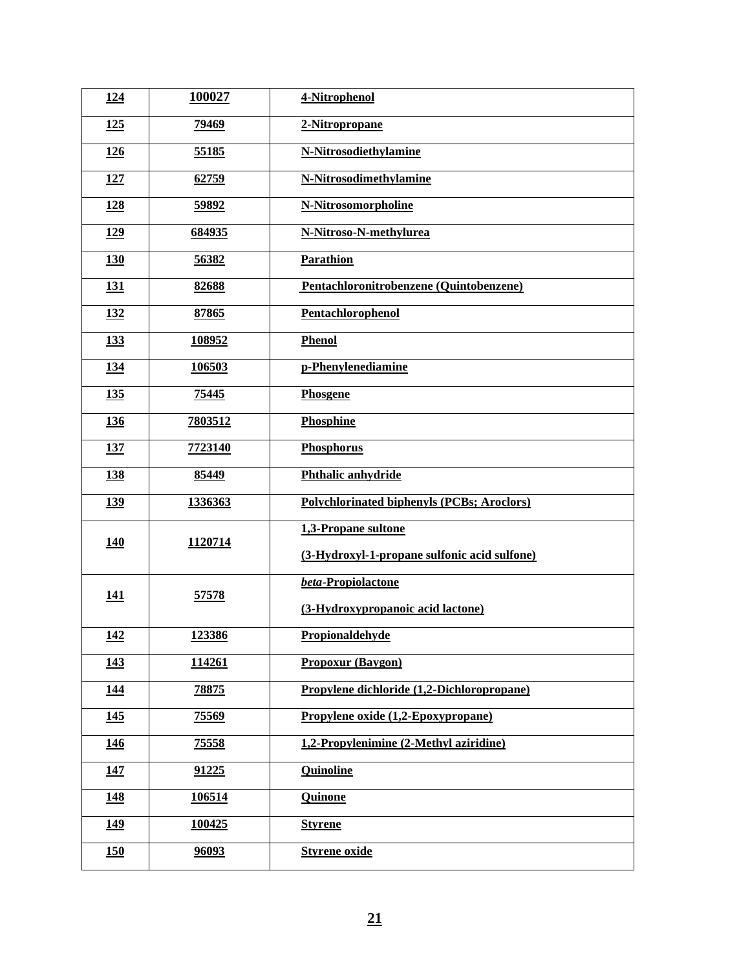| 2-Nitropropane<br><u>125</u><br>79469<br>55185<br>N-Nitrosodiethylamine<br><b>126</b><br>N-Nitrosodimethylamine<br>127<br>62759<br><b>N-Nitrosomorpholine</b><br><u>128</u><br>59892<br><u>129</u><br>N-Nitroso-N-methylurea<br>684935<br>Parathion<br>130<br>56382<br>Pentachloronitrobenzene (Quintobenzene)<br>82688<br><u>131</u><br>Pentachlorophenol<br><u>132</u><br>87865<br><u>133</u><br><b>Phenol</b><br>108952<br>p-Phenylenediamine<br>106503<br><u>134</u><br>135<br>75445<br>Phosgene<br>7803512<br><b>Phosphine</b><br><u>136</u><br>7723140<br>Phosphorus<br><b>137</b><br>85449<br>Phthalic anhydride<br><b>138</b><br><b>Polychlorinated biphenyls (PCBs; Aroclors)</b><br><u>139</u><br>1336363<br>1,3-Propane sultone<br><b>140</b><br>1120714<br>(3-Hydroxyl-1-propane sulfonic acid sulfone)<br>beta-Propiolactone<br>57578<br><u>141</u><br>(3-Hydroxypropanoic acid lactone)<br><u>142</u><br>123386<br>Propionaldehyde<br><b>Propoxur (Baygon)</b><br><u>143</u><br>114261<br>Propylene dichloride (1,2-Dichloropropane)<br><u>144</u><br>78875<br>Propylene oxide (1,2-Epoxypropane)<br>75569<br><u>145</u><br>1,2-Propylenimine (2-Methyl aziridine)<br>75558<br><u> 146</u><br>91225<br><b>Quinoline</b><br><u>147</u><br>106514<br><u>148</u><br><b>Quinone</b><br><u>149</u><br>100425<br><b>Styrene</b><br><b>Styrene oxide</b><br>96093<br><u>150</u> | <u>124</u> | 100027 | 4-Nitrophenol |
|----------------------------------------------------------------------------------------------------------------------------------------------------------------------------------------------------------------------------------------------------------------------------------------------------------------------------------------------------------------------------------------------------------------------------------------------------------------------------------------------------------------------------------------------------------------------------------------------------------------------------------------------------------------------------------------------------------------------------------------------------------------------------------------------------------------------------------------------------------------------------------------------------------------------------------------------------------------------------------------------------------------------------------------------------------------------------------------------------------------------------------------------------------------------------------------------------------------------------------------------------------------------------------------------------------------------------------------------------------------------------------------|------------|--------|---------------|
|                                                                                                                                                                                                                                                                                                                                                                                                                                                                                                                                                                                                                                                                                                                                                                                                                                                                                                                                                                                                                                                                                                                                                                                                                                                                                                                                                                                        |            |        |               |
|                                                                                                                                                                                                                                                                                                                                                                                                                                                                                                                                                                                                                                                                                                                                                                                                                                                                                                                                                                                                                                                                                                                                                                                                                                                                                                                                                                                        |            |        |               |
|                                                                                                                                                                                                                                                                                                                                                                                                                                                                                                                                                                                                                                                                                                                                                                                                                                                                                                                                                                                                                                                                                                                                                                                                                                                                                                                                                                                        |            |        |               |
|                                                                                                                                                                                                                                                                                                                                                                                                                                                                                                                                                                                                                                                                                                                                                                                                                                                                                                                                                                                                                                                                                                                                                                                                                                                                                                                                                                                        |            |        |               |
|                                                                                                                                                                                                                                                                                                                                                                                                                                                                                                                                                                                                                                                                                                                                                                                                                                                                                                                                                                                                                                                                                                                                                                                                                                                                                                                                                                                        |            |        |               |
|                                                                                                                                                                                                                                                                                                                                                                                                                                                                                                                                                                                                                                                                                                                                                                                                                                                                                                                                                                                                                                                                                                                                                                                                                                                                                                                                                                                        |            |        |               |
|                                                                                                                                                                                                                                                                                                                                                                                                                                                                                                                                                                                                                                                                                                                                                                                                                                                                                                                                                                                                                                                                                                                                                                                                                                                                                                                                                                                        |            |        |               |
|                                                                                                                                                                                                                                                                                                                                                                                                                                                                                                                                                                                                                                                                                                                                                                                                                                                                                                                                                                                                                                                                                                                                                                                                                                                                                                                                                                                        |            |        |               |
|                                                                                                                                                                                                                                                                                                                                                                                                                                                                                                                                                                                                                                                                                                                                                                                                                                                                                                                                                                                                                                                                                                                                                                                                                                                                                                                                                                                        |            |        |               |
|                                                                                                                                                                                                                                                                                                                                                                                                                                                                                                                                                                                                                                                                                                                                                                                                                                                                                                                                                                                                                                                                                                                                                                                                                                                                                                                                                                                        |            |        |               |
|                                                                                                                                                                                                                                                                                                                                                                                                                                                                                                                                                                                                                                                                                                                                                                                                                                                                                                                                                                                                                                                                                                                                                                                                                                                                                                                                                                                        |            |        |               |
|                                                                                                                                                                                                                                                                                                                                                                                                                                                                                                                                                                                                                                                                                                                                                                                                                                                                                                                                                                                                                                                                                                                                                                                                                                                                                                                                                                                        |            |        |               |
|                                                                                                                                                                                                                                                                                                                                                                                                                                                                                                                                                                                                                                                                                                                                                                                                                                                                                                                                                                                                                                                                                                                                                                                                                                                                                                                                                                                        |            |        |               |
|                                                                                                                                                                                                                                                                                                                                                                                                                                                                                                                                                                                                                                                                                                                                                                                                                                                                                                                                                                                                                                                                                                                                                                                                                                                                                                                                                                                        |            |        |               |
|                                                                                                                                                                                                                                                                                                                                                                                                                                                                                                                                                                                                                                                                                                                                                                                                                                                                                                                                                                                                                                                                                                                                                                                                                                                                                                                                                                                        |            |        |               |
|                                                                                                                                                                                                                                                                                                                                                                                                                                                                                                                                                                                                                                                                                                                                                                                                                                                                                                                                                                                                                                                                                                                                                                                                                                                                                                                                                                                        |            |        |               |
|                                                                                                                                                                                                                                                                                                                                                                                                                                                                                                                                                                                                                                                                                                                                                                                                                                                                                                                                                                                                                                                                                                                                                                                                                                                                                                                                                                                        |            |        |               |
|                                                                                                                                                                                                                                                                                                                                                                                                                                                                                                                                                                                                                                                                                                                                                                                                                                                                                                                                                                                                                                                                                                                                                                                                                                                                                                                                                                                        |            |        |               |
|                                                                                                                                                                                                                                                                                                                                                                                                                                                                                                                                                                                                                                                                                                                                                                                                                                                                                                                                                                                                                                                                                                                                                                                                                                                                                                                                                                                        |            |        |               |
|                                                                                                                                                                                                                                                                                                                                                                                                                                                                                                                                                                                                                                                                                                                                                                                                                                                                                                                                                                                                                                                                                                                                                                                                                                                                                                                                                                                        |            |        |               |
|                                                                                                                                                                                                                                                                                                                                                                                                                                                                                                                                                                                                                                                                                                                                                                                                                                                                                                                                                                                                                                                                                                                                                                                                                                                                                                                                                                                        |            |        |               |
|                                                                                                                                                                                                                                                                                                                                                                                                                                                                                                                                                                                                                                                                                                                                                                                                                                                                                                                                                                                                                                                                                                                                                                                                                                                                                                                                                                                        |            |        |               |
|                                                                                                                                                                                                                                                                                                                                                                                                                                                                                                                                                                                                                                                                                                                                                                                                                                                                                                                                                                                                                                                                                                                                                                                                                                                                                                                                                                                        |            |        |               |
|                                                                                                                                                                                                                                                                                                                                                                                                                                                                                                                                                                                                                                                                                                                                                                                                                                                                                                                                                                                                                                                                                                                                                                                                                                                                                                                                                                                        |            |        |               |
|                                                                                                                                                                                                                                                                                                                                                                                                                                                                                                                                                                                                                                                                                                                                                                                                                                                                                                                                                                                                                                                                                                                                                                                                                                                                                                                                                                                        |            |        |               |
|                                                                                                                                                                                                                                                                                                                                                                                                                                                                                                                                                                                                                                                                                                                                                                                                                                                                                                                                                                                                                                                                                                                                                                                                                                                                                                                                                                                        |            |        |               |
|                                                                                                                                                                                                                                                                                                                                                                                                                                                                                                                                                                                                                                                                                                                                                                                                                                                                                                                                                                                                                                                                                                                                                                                                                                                                                                                                                                                        |            |        |               |
|                                                                                                                                                                                                                                                                                                                                                                                                                                                                                                                                                                                                                                                                                                                                                                                                                                                                                                                                                                                                                                                                                                                                                                                                                                                                                                                                                                                        |            |        |               |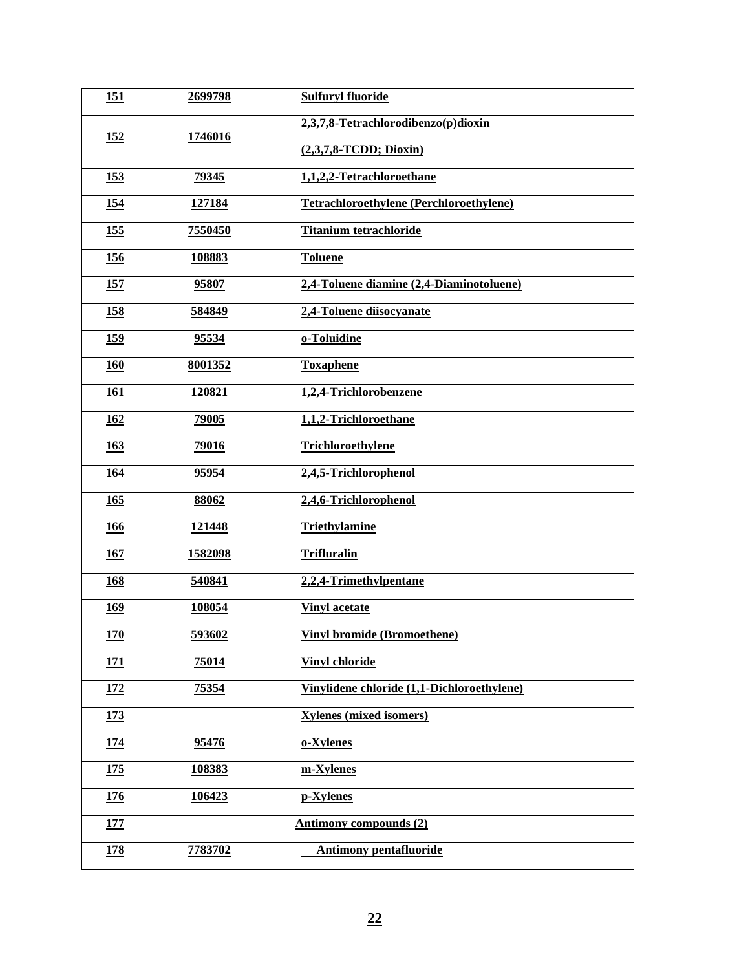| 151        | 2699798 | <b>Sulfuryl fluoride</b>                       |
|------------|---------|------------------------------------------------|
| <u>152</u> | 1746016 | 2,3,7,8-Tetrachlorodibenzo(p)dioxin            |
|            |         | $(2,3,7,8$ -TCDD; Dioxin)                      |
| <u>153</u> | 79345   | 1,1,2,2-Tetrachloroethane                      |
| <u>154</u> | 127184  | <b>Tetrachloroethylene (Perchloroethylene)</b> |
| <u>155</u> | 7550450 | <b>Titanium tetrachloride</b>                  |
| <u>156</u> | 108883  | <b>Toluene</b>                                 |
| <u>157</u> | 95807   | 2,4-Toluene diamine (2,4-Diaminotoluene)       |
| <u>158</u> | 584849  | 2,4-Toluene diisocyanate                       |
| <u>159</u> | 95534   | o-Toluidine                                    |
| <b>160</b> | 8001352 | <b>Toxaphene</b>                               |
| <b>161</b> | 120821  | 1,2,4-Trichlorobenzene                         |
| <u>162</u> | 79005   | 1,1,2-Trichloroethane                          |
| <u>163</u> | 79016   | Trichloroethylene                              |
| <u>164</u> | 95954   | 2,4,5-Trichlorophenol                          |
| 165        | 88062   | 2,4,6-Trichlorophenol                          |
| 166        | 121448  | <b>Triethylamine</b>                           |
| 167        | 1582098 | <b>Trifluralin</b>                             |
| <b>168</b> | 540841  | 2,2,4-Trimethylpentane                         |
| <b>169</b> | 108054  | <b>Vinyl acetate</b>                           |
| 170        | 593602  | <b>Vinyl bromide (Bromoethene)</b>             |
| <u>171</u> | 75014   | <b>Vinyl chloride</b>                          |
| <u>172</u> | 75354   | Vinylidene chloride (1,1-Dichloroethylene)     |
| <u>173</u> |         | <b>Xylenes (mixed isomers)</b>                 |
| <u>174</u> | 95476   | o-Xylenes                                      |
| <u>175</u> | 108383  | m-Xylenes                                      |
| <u>176</u> | 106423  | p-Xylenes                                      |
| <u>177</u> |         | <b>Antimony compounds (2)</b>                  |
| <u>178</u> | 7783702 | <b>Antimony pentafluoride</b>                  |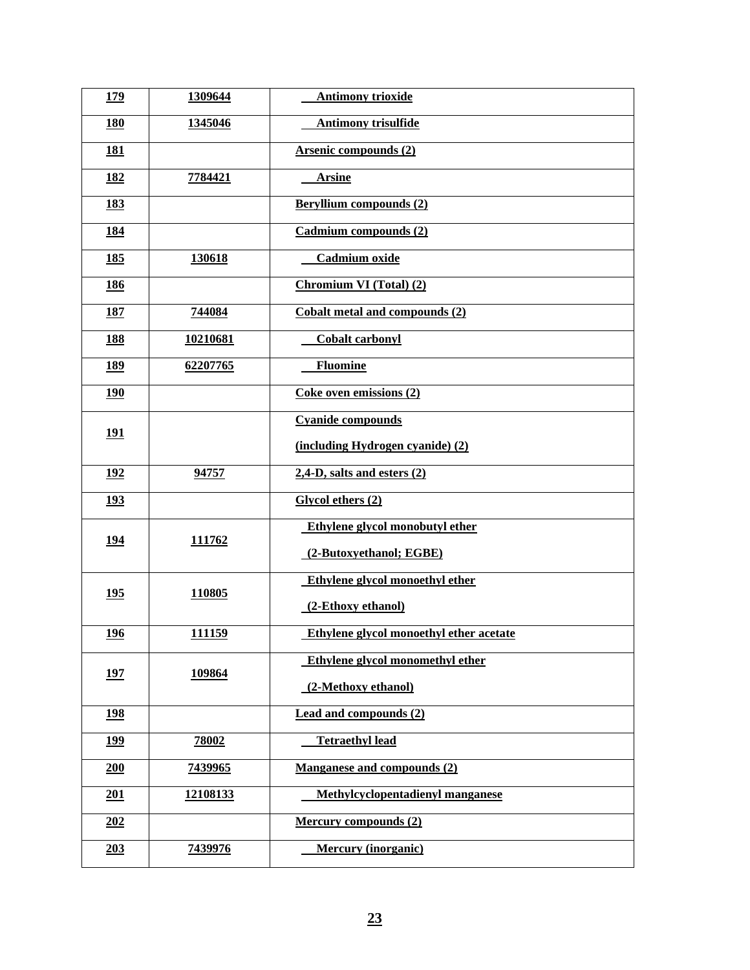| <u>179</u>  | 1309644  | <b>Antimony trioxide</b>                |
|-------------|----------|-----------------------------------------|
| <b>180</b>  | 1345046  | <b>Antimony trisulfide</b>              |
| <b>181</b>  |          | <b>Arsenic compounds (2)</b>            |
| 182         | 7784421  | <b>Arsine</b>                           |
| <u>183</u>  |          | <b>Beryllium compounds (2)</b>          |
| <u>184</u>  |          | Cadmium compounds (2)                   |
| <u>185</u>  | 130618   | Cadmium oxide                           |
| <b>186</b>  |          | <b>Chromium VI (Total) (2)</b>          |
| <u>187</u>  | 744084   | <b>Cobalt metal and compounds (2)</b>   |
| <b>188</b>  | 10210681 | <b>Cobalt carbonyl</b>                  |
| 189         | 62207765 | <b>Fluomine</b>                         |
| <u>190</u>  |          | Coke oven emissions (2)                 |
| <u>191</u>  |          | <b>Cyanide compounds</b>                |
|             |          | (including Hydrogen cyanide) (2)        |
| <u>192</u>  | 94757    | $2,4$ -D, salts and esters $(2)$        |
| <u>193</u>  |          | Glycol ethers (2)                       |
| <u>194</u>  | 111762   | Ethylene glycol monobutyl ether         |
|             |          | (2-Butoxyethanol; EGBE)                 |
| <u>195</u>  | 110805   | Ethylene glycol monoethyl ether         |
|             |          | (2-Ethoxy ethanol)                      |
| <u>196</u>  | 111159   | Ethylene glycol monoethyl ether acetate |
| <u>197</u>  | 109864   | Ethylene glycol monomethyl ether        |
|             |          | (2-Methoxy ethanol)                     |
| <u> 198</u> |          | <b>Lead and compounds (2)</b>           |
| <u>199</u>  | 78002    | <b>Tetraethyl lead</b>                  |
| 200         | 7439965  | Manganese and compounds (2)             |
| 201         | 12108133 | Methylcyclopentadienyl manganese        |
| 202         |          | <b>Mercury compounds (2)</b>            |
| 203         | 7439976  | <b>Mercury (inorganic)</b>              |